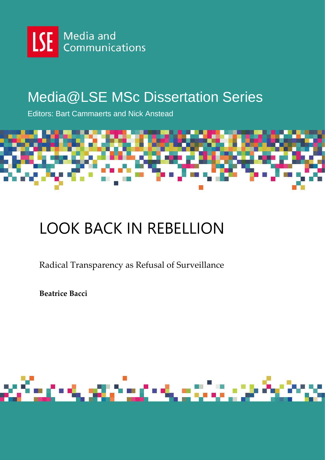

## Media@LSE MSc Dissertation Series

Editors: Bart Cammaerts and Nick Anstead



# LOOK BACK IN REBELLION

Radical Transparency as Refusal of Surveillance

**Beatrice Bacci**

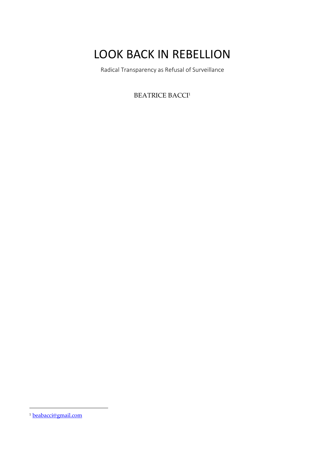## LOOK BACK IN REBELLION

Radical Transparency as Refusal of Surveillance

**BEATRICE BACCI<sup>1</sup>** 

 $\overline{a}$ 

<sup>1</sup> beabacci@gmail.com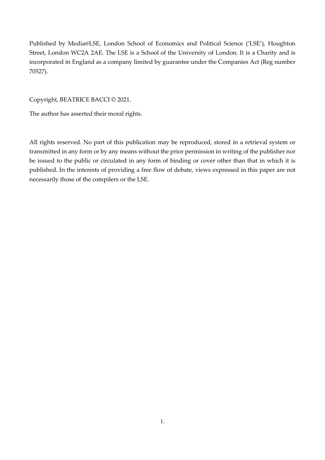Published by Media@LSE, London School of Economics and Political Science ('LSE'), Houghton Street, London WC2A 2AE. The LSE is a School of the University of London. It is a Charity and is incorporated in England as a company limited by guarantee under the Companies Act (Reg number 70527).

Copyright, BEATRICE BACCI © 2021.

The author has asserted their moral rights.

All rights reserved. No part of this publication may be reproduced, stored in a retrieval system or transmitted in any form or by any means without the prior permission in writing of the publisher nor be issued to the public or circulated in any form of binding or cover other than that in which it is published. In the interests of providing a free flow of debate, views expressed in this paper are not necessarily those of the compilers or the LSE.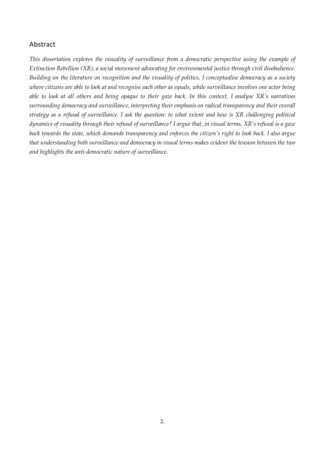### Abstract

*This dissertation explores the visuality of surveillance from a democratic perspective using the example of Extinction Rebellion (XR), a social movement advocating for environmental justice through civil disobedience. Building on the literature on recognition and the visuality of politics, I conceptualise democracy as a society where citizens are able to look at and recognise each other as equals, while surveillance involves one actor being able to look at all others and being opaque to their gaze back. In this context, I analyse XR's narratives surrounding democracy and surveillance, interpreting their emphasis on radical transparency and their overall strategy as a refusal of surveillance. I ask the question: to what extent and how is XR challenging political dynamics of visuality through their refusal of surveillance? I argue that, in visual terms, XR's refusal is a gaze back towards the state, which demands transparency and enforces the citizen's right to look back. I also argue that understanding both surveillance and democracy in visual terms makes evident the tension between the two and highlights the anti-democratic nature of surveillance.*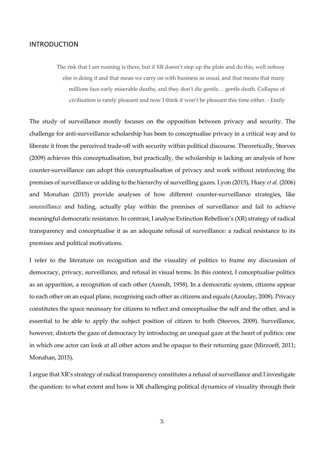#### INTRODUCTION

The risk that I am running is there, but if XR doesn't step up the plate and do this, well nobosy else is doing it and that mean we carry on with business as usual, and that means that many millions face early miserable deaths, and they don't die gentle… gentle death. Collapse of civilisation is rarely pleasant and now I think it won't be pleasant this time either. - Emily

The study of surveillance mostly focuses on the opposition between privacy and security. The challenge for anti-surveillance scholarship has been to conceptualise privacy in a critical way and to liberate it from the perceived trade-off with security within political discourse. Theoretically, Steeves (2009) achieves this conceptualisation, but practically, the scholarship is lacking an analysis of how counter-surveillance can adopt this conceptualisation of privacy and work without reinforcing the premises of surveillance or adding to the hierarchy of surveilling gazes. Lyon (2015), Huey *et al.* (2006) and Monahan (2015) provide analyses of how different counter-surveillance strategies, like *sousveillance* and hiding, actually play within the premises of surveillance and fail to achieve meaningful democratic resistance. In contrast, I analyse Extinction Rebellion's (XR) strategy of radical transparency and conceptualise it as an adequate refusal of surveillance: a radical resistance to its premises and political motivations.

I refer to the literature on recognition and the visuality of politics to frame my discussion of democracy, privacy, surveillance, and refusal in visual terms. In this context, I conceptualise politics as an apparition, a recognition of each other (Arendt, 1958). In a democratic system, citizens appear to each other on an equal plane, recognising each other as citizens and equals (Azoulay, 2008). Privacy constitutes the space necessary for citizens to reflect and conceptualise the self and the other, and is essential to be able to apply the subject position of citizen to both (Steeves, 2009). Surveillance, however, distorts the gaze of democracy by introducing an unequal gaze at the heart of politics: one in which one actor can look at all other actors and be opaque to their returning gaze (Mirzoeff, 2011; Monahan, 2015).

I argue that XR's strategy of radical transparency constitutes a refusal of surveillance and I investigate the question: to what extent and how is XR challenging political dynamics of visuality through their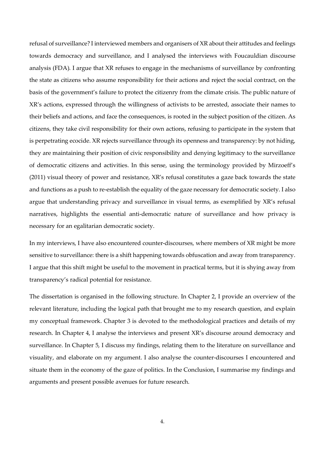refusal of surveillance? I interviewed members and organisers of XR about their attitudes and feelings towards democracy and surveillance, and I analysed the interviews with Foucauldian discourse analysis (FDA). I argue that XR refuses to engage in the mechanisms of surveillance by confronting the state as citizens who assume responsibility for their actions and reject the social contract, on the basis of the government's failure to protect the citizenry from the climate crisis. The public nature of XR's actions, expressed through the willingness of activists to be arrested, associate their names to their beliefs and actions, and face the consequences, is rooted in the subject position of the citizen. As citizens, they take civil responsibility for their own actions, refusing to participate in the system that is perpetrating ecocide. XR rejects surveillance through its openness and transparency: by not hiding, they are maintaining their position of civic responsibility and denying legitimacy to the surveillance of democratic citizens and activities. In this sense, using the terminology provided by Mirzoeff's (2011) visual theory of power and resistance, XR's refusal constitutes a gaze back towards the state and functions as a push to re-establish the equality of the gaze necessary for democratic society. I also argue that understanding privacy and surveillance in visual terms, as exemplified by XR's refusal narratives, highlights the essential anti-democratic nature of surveillance and how privacy is necessary for an egalitarian democratic society.

In my interviews, I have also encountered counter-discourses, where members of XR might be more sensitive to surveillance: there is a shift happening towards obfuscation and away from transparency. I argue that this shift might be useful to the movement in practical terms, but it is shying away from transparency's radical potential for resistance.

The dissertation is organised in the following structure. In Chapter 2, I provide an overview of the relevant literature, including the logical path that brought me to my research question, and explain my conceptual framework. Chapter 3 is devoted to the methodological practices and details of my research. In Chapter 4, I analyse the interviews and present XR's discourse around democracy and surveillance. In Chapter 5, I discuss my findings, relating them to the literature on surveillance and visuality, and elaborate on my argument. I also analyse the counter-discourses I encountered and situate them in the economy of the gaze of politics. In the Conclusion, I summarise my findings and arguments and present possible avenues for future research.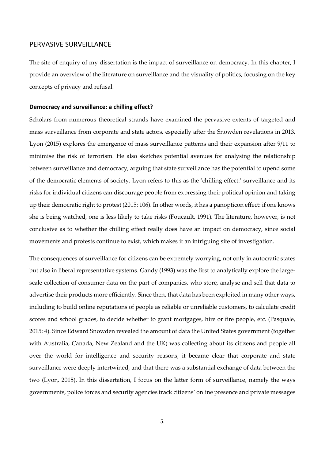#### PERVASIVE SURVEILLANCE

The site of enquiry of my dissertation is the impact of surveillance on democracy. In this chapter, I provide an overview of the literature on surveillance and the visuality of politics, focusing on the key concepts of privacy and refusal.

#### **Democracy and surveillance: a chilling effect?**

Scholars from numerous theoretical strands have examined the pervasive extents of targeted and mass surveillance from corporate and state actors, especially after the Snowden revelations in 2013. Lyon (2015) explores the emergence of mass surveillance patterns and their expansion after 9/11 to minimise the risk of terrorism. He also sketches potential avenues for analysing the relationship between surveillance and democracy, arguing that state surveillance has the potential to upend some of the democratic elements of society. Lyon refers to this as the 'chilling effect:' surveillance and its risks for individual citizens can discourage people from expressing their political opinion and taking up their democratic right to protest (2015: 106). In other words, it has a panopticon effect: if one knows she is being watched, one is less likely to take risks (Foucault, 1991). The literature, however, is not conclusive as to whether the chilling effect really does have an impact on democracy, since social movements and protests continue to exist, which makes it an intriguing site of investigation.

The consequences of surveillance for citizens can be extremely worrying, not only in autocratic states but also in liberal representative systems. Gandy (1993) was the first to analytically explore the largescale collection of consumer data on the part of companies, who store, analyse and sell that data to advertise their products more efficiently. Since then, that data has been exploited in many other ways, including to build online reputations of people as reliable or unreliable customers, to calculate credit scores and school grades, to decide whether to grant mortgages, hire or fire people, etc. (Pasquale, 2015: 4). Since Edward Snowden revealed the amount of data the United States government (together with Australia, Canada, New Zealand and the UK) was collecting about its citizens and people all over the world for intelligence and security reasons, it became clear that corporate and state surveillance were deeply intertwined, and that there was a substantial exchange of data between the two (Lyon, 2015). In this dissertation, I focus on the latter form of surveillance, namely the ways governments, police forces and security agencies track citizens' online presence and private messages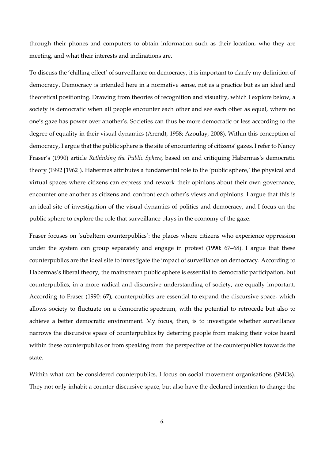through their phones and computers to obtain information such as their location, who they are meeting, and what their interests and inclinations are.

To discuss the 'chilling effect' of surveillance on democracy, it is important to clarify my definition of democracy. Democracy is intended here in a normative sense, not as a practice but as an ideal and theoretical positioning. Drawing from theories of recognition and visuality, which I explore below, a society is democratic when all people encounter each other and see each other as equal, where no one's gaze has power over another's. Societies can thus be more democratic or less according to the degree of equality in their visual dynamics (Arendt, 1958; Azoulay, 2008). Within this conception of democracy, I argue that the public sphere is the site of encountering of citizens' gazes. I refer to Nancy Fraser's (1990) article *Rethinking the Public Sphere*, based on and critiquing Habermas's democratic theory (1992 [1962]). Habermas attributes a fundamental role to the 'public sphere,' the physical and virtual spaces where citizens can express and rework their opinions about their own governance, encounter one another as citizens and confront each other's views and opinions. I argue that this is an ideal site of investigation of the visual dynamics of politics and democracy, and I focus on the public sphere to explore the role that surveillance plays in the economy of the gaze.

Fraser focuses on 'subaltern counterpublics': the places where citizens who experience oppression under the system can group separately and engage in protest (1990: 67–68). I argue that these counterpublics are the ideal site to investigate the impact of surveillance on democracy. According to Habermas's liberal theory, the mainstream public sphere is essential to democratic participation, but counterpublics, in a more radical and discursive understanding of society, are equally important. According to Fraser (1990: 67), counterpublics are essential to expand the discursive space, which allows society to fluctuate on a democratic spectrum, with the potential to retrocede but also to achieve a better democratic environment. My focus, then, is to investigate whether surveillance narrows the discursive space of counterpublics by deterring people from making their voice heard within these counterpublics or from speaking from the perspective of the counterpublics towards the state.

Within what can be considered counterpublics, I focus on social movement organisations (SMOs). They not only inhabit a counter-discursive space, but also have the declared intention to change the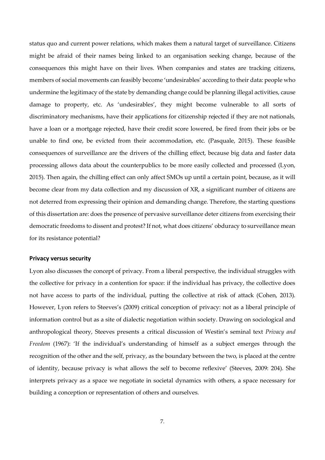status quo and current power relations, which makes them a natural target of surveillance. Citizens might be afraid of their names being linked to an organisation seeking change, because of the consequences this might have on their lives. When companies and states are tracking citizens, members of social movements can feasibly become 'undesirables' according to their data: people who undermine the legitimacy of the state by demanding change could be planning illegal activities, cause damage to property, etc. As 'undesirables', they might become vulnerable to all sorts of discriminatory mechanisms, have their applications for citizenship rejected if they are not nationals, have a loan or a mortgage rejected, have their credit score lowered, be fired from their jobs or be unable to find one, be evicted from their accommodation, etc. (Pasquale, 2015). These feasible consequences of surveillance are the drivers of the chilling effect, because big data and faster data processing allows data about the counterpublics to be more easily collected and processed (Lyon, 2015). Then again, the chilling effect can only affect SMOs up until a certain point, because, as it will become clear from my data collection and my discussion of XR, a significant number of citizens are not deterred from expressing their opinion and demanding change. Therefore, the starting questions of this dissertation are: does the presence of pervasive surveillance deter citizens from exercising their democratic freedoms to dissent and protest? If not, what does citizens' obduracy to surveillance mean for its resistance potential?

#### **Privacy versus security**

Lyon also discusses the concept of privacy. From a liberal perspective, the individual struggles with the collective for privacy in a contention for space: if the individual has privacy, the collective does not have access to parts of the individual, putting the collective at risk of attack (Cohen, 2013). However, Lyon refers to Steeves's (2009) critical conception of privacy: not as a liberal principle of information control but as a site of dialectic negotiation within society. Drawing on sociological and anthropological theory, Steeves presents a critical discussion of Westin's seminal text *Privacy and Freedom* (1967): 'If the individual's understanding of himself as a subject emerges through the recognition of the other and the self, privacy, as the boundary between the two, is placed at the centre of identity, because privacy is what allows the self to become reflexive' (Steeves, 2009: 204). She interprets privacy as a space we negotiate in societal dynamics with others, a space necessary for building a conception or representation of others and ourselves.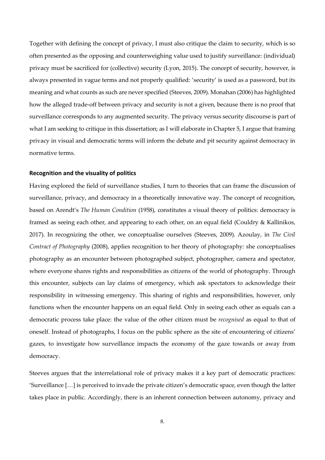Together with defining the concept of privacy, I must also critique the claim to security, which is so often presented as the opposing and counterweighing value used to justify surveillance: (individual) privacy must be sacrificed for (collective) security (Lyon, 2015). The concept of security, however, is always presented in vague terms and not properly qualified: 'security' is used as a password, but its meaning and what counts as such are never specified (Steeves, 2009). Monahan (2006) has highlighted how the alleged trade-off between privacy and security is not a given, because there is no proof that surveillance corresponds to any augmented security. The privacy versus security discourse is part of what I am seeking to critique in this dissertation; as I will elaborate in Chapter 5, I argue that framing privacy in visual and democratic terms will inform the debate and pit security against democracy in normative terms.

#### **Recognition and the visuality of politics**

Having explored the field of surveillance studies, I turn to theories that can frame the discussion of surveillance, privacy, and democracy in a theoretically innovative way. The concept of recognition, based on Arendt's *The Human Condition* (1958), constitutes a visual theory of politics: democracy is framed as seeing each other, and appearing to each other, on an equal field (Couldry & Kallinikos, 2017). In recognizing the other, we conceptualise ourselves (Steeves, 2009). Azoulay, in *The Civil Contract of Photography* (2008), applies recognition to her theory of photography: she conceptualises photography as an encounter between photographed subject, photographer, camera and spectator, where everyone shares rights and responsibilities as citizens of the world of photography. Through this encounter, subjects can lay claims of emergency, which ask spectators to acknowledge their responsibility in witnessing emergency. This sharing of rights and responsibilities, however, only functions when the encounter happens on an equal field. Only in seeing each other as equals can a democratic process take place: the value of the other citizen must be *recognised* as equal to that of oneself. Instead of photographs, I focus on the public sphere as the site of encountering of citizens' gazes, to investigate how surveillance impacts the economy of the gaze towards or away from democracy.

Steeves argues that the interrelational role of privacy makes it a key part of democratic practices: 'Surveillance […] is perceived to invade the private citizen's democratic space, even though the latter takes place in public. Accordingly, there is an inherent connection between autonomy, privacy and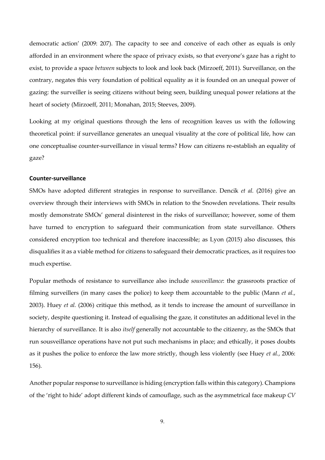democratic action' (2009: 207). The capacity to see and conceive of each other as equals is only afforded in an environment where the space of privacy exists, so that everyone's gaze has a right to exist, to provide a space *between* subjects to look and look back (Mirzoeff, 2011). Surveillance, on the contrary, negates this very foundation of political equality as it is founded on an unequal power of gazing: the surveiller is seeing citizens without being seen, building unequal power relations at the heart of society (Mirzoeff, 2011; Monahan, 2015; Steeves, 2009).

Looking at my original questions through the lens of recognition leaves us with the following theoretical point: if surveillance generates an unequal visuality at the core of political life, how can one conceptualise counter-surveillance in visual terms? How can citizens re-establish an equality of gaze?

#### **Counter-surveillance**

SMOs have adopted different strategies in response to surveillance. Dencik *et al.* (2016) give an overview through their interviews with SMOs in relation to the Snowden revelations. Their results mostly demonstrate SMOs' general disinterest in the risks of surveillance; however, some of them have turned to encryption to safeguard their communication from state surveillance. Others considered encryption too technical and therefore inaccessible; as Lyon (2015) also discusses, this disqualifies it as a viable method for citizens to safeguard their democratic practices, as it requires too much expertise.

Popular methods of resistance to surveillance also include *sousveillance*: the grassroots practice of filming surveillers (in many cases the police) to keep them accountable to the public (Mann *et al.*, 2003). Huey *et al.* (2006) critique this method, as it tends to increase the amount of surveillance in society, despite questioning it. Instead of equalising the gaze, it constitutes an additional level in the hierarchy of surveillance. It is also *itself* generally not accountable to the citizenry, as the SMOs that run sousveillance operations have not put such mechanisms in place; and ethically, it poses doubts as it pushes the police to enforce the law more strictly, though less violently (see Huey *et al.*, 2006: 156).

Another popular response to surveillance is hiding (encryption falls within this category). Champions of the 'right to hide' adopt different kinds of camouflage, such as the asymmetrical face makeup *CV*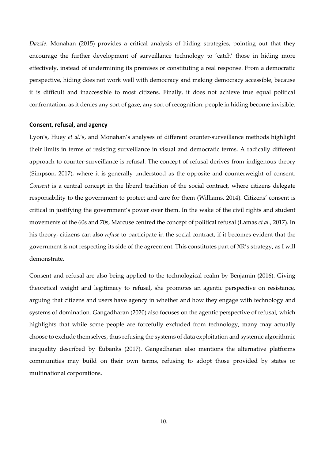*Dazzle*. Monahan (2015) provides a critical analysis of hiding strategies, pointing out that they encourage the further development of surveillance technology to 'catch' those in hiding more effectively, instead of undermining its premises or constituting a real response. From a democratic perspective, hiding does not work well with democracy and making democracy accessible, because it is difficult and inaccessible to most citizens. Finally, it does not achieve true equal political confrontation, as it denies any sort of gaze, any sort of recognition: people in hiding become invisible.

#### **Consent, refusal, and agency**

Lyon's, Huey *et al.*'s, and Monahan's analyses of different counter-surveillance methods highlight their limits in terms of resisting surveillance in visual and democratic terms. A radically different approach to counter-surveillance is refusal. The concept of refusal derives from indigenous theory (Simpson, 2017), where it is generally understood as the opposite and counterweight of consent. *Consent* is a central concept in the liberal tradition of the social contract, where citizens delegate responsibility to the government to protect and care for them (Williams, 2014). Citizens' consent is critical in justifying the government's power over them. In the wake of the civil rights and student movements of the 60s and 70s, Marcuse centred the concept of political refusal (Lamas *et al.*, 2017). In his theory, citizens can also *refuse* to participate in the social contract, if it becomes evident that the government is not respecting its side of the agreement. This constitutes part of XR's strategy, as I will demonstrate.

Consent and refusal are also being applied to the technological realm by Benjamin (2016). Giving theoretical weight and legitimacy to refusal, she promotes an agentic perspective on resistance, arguing that citizens and users have agency in whether and how they engage with technology and systems of domination. Gangadharan (2020) also focuses on the agentic perspective of refusal, which highlights that while some people are forcefully excluded from technology, many may actually choose to exclude themselves, thus refusing the systems of data exploitation and systemic algorithmic inequality described by Eubanks (2017). Gangadharan also mentions the alternative platforms communities may build on their own terms, refusing to adopt those provided by states or multinational corporations.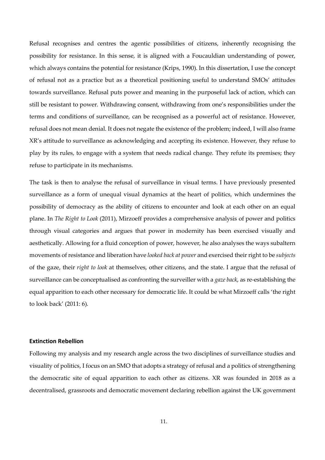Refusal recognises and centres the agentic possibilities of citizens, inherently recognising the possibility for resistance. In this sense, it is aligned with a Foucauldian understanding of power, which always contains the potential for resistance (Krips, 1990). In this dissertation, I use the concept of refusal not as a practice but as a theoretical positioning useful to understand SMOs' attitudes towards surveillance. Refusal puts power and meaning in the purposeful lack of action, which can still be resistant to power. Withdrawing consent, withdrawing from one's responsibilities under the terms and conditions of surveillance, can be recognised as a powerful act of resistance. However, refusal does not mean denial. It does not negate the existence of the problem; indeed, I will also frame XR's attitude to surveillance as acknowledging and accepting its existence. However, they refuse to play by its rules, to engage with a system that needs radical change. They refute its premises; they refuse to participate in its mechanisms.

The task is then to analyse the refusal of surveillance in visual terms. I have previously presented surveillance as a form of unequal visual dynamics at the heart of politics, which undermines the possibility of democracy as the ability of citizens to encounter and look at each other on an equal plane. In *The Right to Look* (2011), Mirzoeff provides a comprehensive analysis of power and politics through visual categories and argues that power in modernity has been exercised visually and aesthetically. Allowing for a fluid conception of power, however, he also analyses the ways subaltern movements of resistance and liberation have *looked back at power* and exercised their right to be *subjects* of the gaze, their *right to look* at themselves, other citizens, and the state. I argue that the refusal of surveillance can be conceptualised as confronting the surveiller with a *gaze back*, as re-establishing the equal apparition to each other necessary for democratic life. It could be what Mirzoeff calls 'the right to look back' (2011: 6).

#### **Extinction Rebellion**

Following my analysis and my research angle across the two disciplines of surveillance studies and visuality of politics, I focus on an SMO that adopts a strategy of refusal and a politics of strengthening the democratic site of equal apparition to each other as citizens. XR was founded in 2018 as a decentralised, grassroots and democratic movement declaring rebellion against the UK government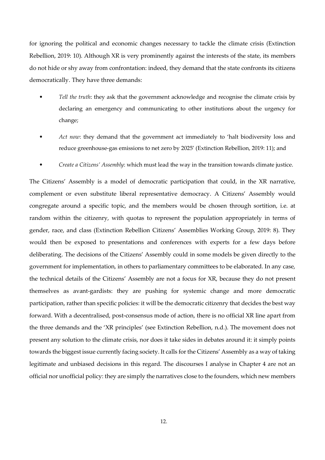for ignoring the political and economic changes necessary to tackle the climate crisis (Extinction Rebellion, 2019: 10). Although XR is very prominently against the interests of the state, its members do not hide or shy away from confrontation: indeed, they demand that the state confronts its citizens democratically. They have three demands:

- *Tell the truth*: they ask that the government acknowledge and recognise the climate crisis by declaring an emergency and communicating to other institutions about the urgency for change;
- *Act now*: they demand that the government act immediately to 'halt biodiversity loss and reduce greenhouse-gas emissions to net zero by 2025' (Extinction Rebellion, 2019: 11); and
- *Create a Citizens' Assembly*: which must lead the way in the transition towards climate justice.

The Citizens' Assembly is a model of democratic participation that could, in the XR narrative, complement or even substitute liberal representative democracy. A Citizens' Assembly would congregate around a specific topic, and the members would be chosen through sortition, i.e. at random within the citizenry, with quotas to represent the population appropriately in terms of gender, race, and class (Extinction Rebellion Citizens' Assemblies Working Group, 2019: 8). They would then be exposed to presentations and conferences with experts for a few days before deliberating. The decisions of the Citizens' Assembly could in some models be given directly to the government for implementation, in others to parliamentary committees to be elaborated. In any case, the technical details of the Citizens' Assembly are not a focus for XR, because they do not present themselves as avant-gardists: they are pushing for systemic change and more democratic participation, rather than specific policies: it will be the democratic citizenry that decides the best way forward. With a decentralised, post-consensus mode of action, there is no official XR line apart from the three demands and the 'XR principles' (see Extinction Rebellion, n.d.). The movement does not present any solution to the climate crisis, nor does it take sides in debates around it: it simply points towards the biggest issue currently facing society. It calls for the Citizens' Assembly as a way of taking legitimate and unbiased decisions in this regard. The discourses I analyse in Chapter 4 are not an official nor unofficial policy: they are simply the narratives close to the founders, which new members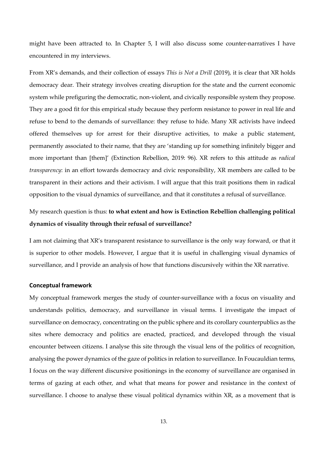might have been attracted to. In Chapter 5, I will also discuss some counter-narratives I have encountered in my interviews.

From XR's demands, and their collection of essays *This is Not a Drill* (2019), it is clear that XR holds democracy dear. Their strategy involves creating disruption for the state and the current economic system while prefiguring the democratic, non-violent, and civically responsible system they propose. They are a good fit for this empirical study because they perform resistance to power in real life and refuse to bend to the demands of surveillance: they refuse to hide. Many XR activists have indeed offered themselves up for arrest for their disruptive activities, to make a public statement, permanently associated to their name, that they are 'standing up for something infinitely bigger and more important than [them]' (Extinction Rebellion, 2019: 96). XR refers to this attitude as *radical transparency*: in an effort towards democracy and civic responsibility, XR members are called to be transparent in their actions and their activism. I will argue that this trait positions them in radical opposition to the visual dynamics of surveillance, and that it constitutes a refusal of surveillance.

## My research question is thus: **to what extent and how is Extinction Rebellion challenging political dynamics of visuality through their refusal of surveillance?**

I am not claiming that XR's transparent resistance to surveillance is the only way forward, or that it is superior to other models. However, I argue that it is useful in challenging visual dynamics of surveillance, and I provide an analysis of how that functions discursively within the XR narrative.

#### **Conceptual framework**

My conceptual framework merges the study of counter-surveillance with a focus on visuality and understands politics, democracy, and surveillance in visual terms. I investigate the impact of surveillance on democracy, concentrating on the public sphere and its corollary counterpublics as the sites where democracy and politics are enacted, practiced, and developed through the visual encounter between citizens. I analyse this site through the visual lens of the politics of recognition, analysing the power dynamics of the gaze of politics in relation to surveillance. In Foucauldian terms, I focus on the way different discursive positionings in the economy of surveillance are organised in terms of gazing at each other, and what that means for power and resistance in the context of surveillance. I choose to analyse these visual political dynamics within XR, as a movement that is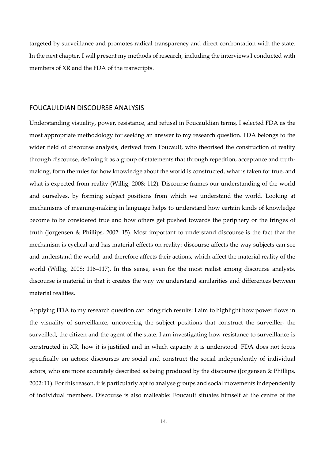targeted by surveillance and promotes radical transparency and direct confrontation with the state. In the next chapter, I will present my methods of research, including the interviews I conducted with members of XR and the FDA of the transcripts.

#### FOUCAULDIAN DISCOURSE ANALYSIS

Understanding visuality, power, resistance, and refusal in Foucauldian terms, I selected FDA as the most appropriate methodology for seeking an answer to my research question. FDA belongs to the wider field of discourse analysis, derived from Foucault, who theorised the construction of reality through discourse, defining it as a group of statements that through repetition, acceptance and truthmaking, form the rules for how knowledge about the world is constructed, what is taken for true, and what is expected from reality (Willig, 2008: 112). Discourse frames our understanding of the world and ourselves, by forming subject positions from which we understand the world. Looking at mechanisms of meaning-making in language helps to understand how certain kinds of knowledge become to be considered true and how others get pushed towards the periphery or the fringes of truth (Jorgensen & Phillips, 2002: 15). Most important to understand discourse is the fact that the mechanism is cyclical and has material effects on reality: discourse affects the way subjects can see and understand the world, and therefore affects their actions, which affect the material reality of the world (Willig, 2008: 116–117). In this sense, even for the most realist among discourse analysts, discourse is material in that it creates the way we understand similarities and differences between material realities.

Applying FDA to my research question can bring rich results: I aim to highlight how power flows in the visuality of surveillance, uncovering the subject positions that construct the surveiller, the surveilled, the citizen and the agent of the state. I am investigating how resistance to surveillance is constructed in XR, how it is justified and in which capacity it is understood. FDA does not focus specifically on actors: discourses are social and construct the social independently of individual actors, who are more accurately described as being produced by the discourse (Jorgensen & Phillips, 2002: 11). For this reason, it is particularly apt to analyse groups and social movements independently of individual members. Discourse is also malleable: Foucault situates himself at the centre of the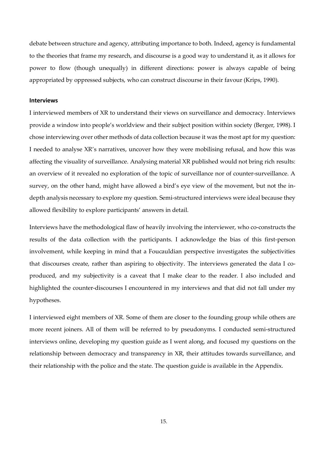debate between structure and agency, attributing importance to both. Indeed, agency is fundamental to the theories that frame my research, and discourse is a good way to understand it, as it allows for power to flow (though unequally) in different directions: power is always capable of being appropriated by oppressed subjects, who can construct discourse in their favour (Krips, 1990).

#### **Interviews**

I interviewed members of XR to understand their views on surveillance and democracy. Interviews provide a window into people's worldview and their subject position within society (Berger, 1998). I chose interviewing over other methods of data collection because it was the most apt for my question: I needed to analyse XR's narratives, uncover how they were mobilising refusal, and how this was affecting the visuality of surveillance. Analysing material XR published would not bring rich results: an overview of it revealed no exploration of the topic of surveillance nor of counter-surveillance. A survey, on the other hand, might have allowed a bird's eye view of the movement, but not the indepth analysis necessary to explore my question. Semi-structured interviews were ideal because they allowed flexibility to explore participants' answers in detail.

Interviews have the methodological flaw of heavily involving the interviewer, who co-constructs the results of the data collection with the participants. I acknowledge the bias of this first-person involvement, while keeping in mind that a Foucauldian perspective investigates the subjectivities that discourses create, rather than aspiring to objectivity. The interviews generated the data I coproduced, and my subjectivity is a caveat that I make clear to the reader. I also included and highlighted the counter-discourses I encountered in my interviews and that did not fall under my hypotheses.

I interviewed eight members of XR. Some of them are closer to the founding group while others are more recent joiners. All of them will be referred to by pseudonyms. I conducted semi-structured interviews online, developing my question guide as I went along, and focused my questions on the relationship between democracy and transparency in XR, their attitudes towards surveillance, and their relationship with the police and the state. The question guide is available in the Appendix.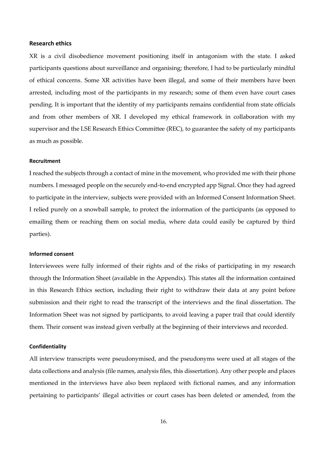#### **Research ethics**

XR is a civil disobedience movement positioning itself in antagonism with the state. I asked participants questions about surveillance and organising; therefore, I had to be particularly mindful of ethical concerns. Some XR activities have been illegal, and some of their members have been arrested, including most of the participants in my research; some of them even have court cases pending. It is important that the identity of my participants remains confidential from state officials and from other members of XR. I developed my ethical framework in collaboration with my supervisor and the LSE Research Ethics Committee (REC), to guarantee the safety of my participants as much as possible.

#### **Recruitment**

I reached the subjects through a contact of mine in the movement, who provided me with their phone numbers. I messaged people on the securely end-to-end encrypted app Signal. Once they had agreed to participate in the interview, subjects were provided with an Informed Consent Information Sheet. I relied purely on a snowball sample, to protect the information of the participants (as opposed to emailing them or reaching them on social media, where data could easily be captured by third parties).

#### **Informed consent**

Interviewees were fully informed of their rights and of the risks of participating in my research through the Information Sheet (available in the Appendix). This states all the information contained in this Research Ethics section, including their right to withdraw their data at any point before submission and their right to read the transcript of the interviews and the final dissertation. The Information Sheet was not signed by participants, to avoid leaving a paper trail that could identify them. Their consent was instead given verbally at the beginning of their interviews and recorded.

#### **Confidentiality**

All interview transcripts were pseudonymised, and the pseudonyms were used at all stages of the data collections and analysis (file names, analysis files, this dissertation). Any other people and places mentioned in the interviews have also been replaced with fictional names, and any information pertaining to participants' illegal activities or court cases has been deleted or amended, from the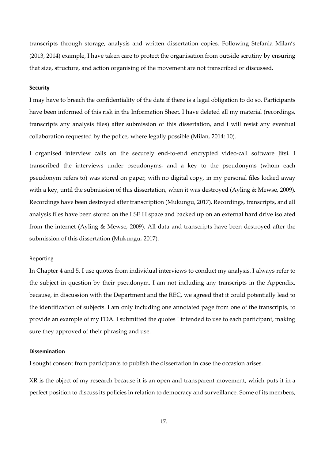transcripts through storage, analysis and written dissertation copies. Following Stefania Milan's (2013, 2014) example, I have taken care to protect the organisation from outside scrutiny by ensuring that size, structure, and action organising of the movement are not transcribed or discussed.

#### **Security**

I may have to breach the confidentiality of the data if there is a legal obligation to do so. Participants have been informed of this risk in the Information Sheet. I have deleted all my material (recordings, transcripts any analysis files) after submission of this dissertation, and I will resist any eventual collaboration requested by the police, where legally possible (Milan, 2014: 10).

I organised interview calls on the securely end-to-end encrypted video-call software Jitsi. I transcribed the interviews under pseudonyms, and a key to the pseudonyms (whom each pseudonym refers to) was stored on paper, with no digital copy, in my personal files locked away with a key, until the submission of this dissertation, when it was destroyed (Ayling & Mewse, 2009). Recordings have been destroyed after transcription (Mukungu, 2017). Recordings, transcripts, and all analysis files have been stored on the LSE H space and backed up on an external hard drive isolated from the internet (Ayling & Mewse, 2009). All data and transcripts have been destroyed after the submission of this dissertation (Mukungu, 2017).

#### Reporting

In Chapter 4 and 5, I use quotes from individual interviews to conduct my analysis. I always refer to the subject in question by their pseudonym. I am not including any transcripts in the Appendix, because, in discussion with the Department and the REC, we agreed that it could potentially lead to the identification of subjects. I am only including one annotated page from one of the transcripts, to provide an example of my FDA. I submitted the quotes I intended to use to each participant, making sure they approved of their phrasing and use.

#### **Dissemination**

I sought consent from participants to publish the dissertation in case the occasion arises.

XR is the object of my research because it is an open and transparent movement, which puts it in a perfect position to discuss its policies in relation to democracy and surveillance. Some of its members,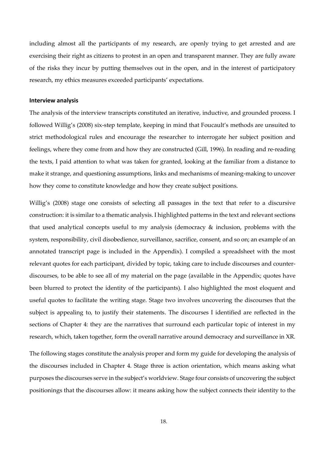including almost all the participants of my research, are openly trying to get arrested and are exercising their right as citizens to protest in an open and transparent manner. They are fully aware of the risks they incur by putting themselves out in the open, and in the interest of participatory research, my ethics measures exceeded participants' expectations.

#### **Interview analysis**

The analysis of the interview transcripts constituted an iterative, inductive, and grounded process. I followed Willig's (2008) six-step template, keeping in mind that Foucault's methods are unsuited to strict methodological rules and encourage the researcher to interrogate her subject position and feelings, where they come from and how they are constructed (Gill, 1996). In reading and re-reading the texts, I paid attention to what was taken for granted, looking at the familiar from a distance to make it strange, and questioning assumptions, links and mechanisms of meaning-making to uncover how they come to constitute knowledge and how they create subject positions.

Willig's (2008) stage one consists of selecting all passages in the text that refer to a discursive construction: it is similar to a thematic analysis. I highlighted patterns in the text and relevant sections that used analytical concepts useful to my analysis (democracy & inclusion, problems with the system, responsibility, civil disobedience, surveillance, sacrifice, consent, and so on; an example of an annotated transcript page is included in the Appendix). I compiled a spreadsheet with the most relevant quotes for each participant, divided by topic, taking care to include discourses and counterdiscourses, to be able to see all of my material on the page (available in the Appendix; quotes have been blurred to protect the identity of the participants). I also highlighted the most eloquent and useful quotes to facilitate the writing stage. Stage two involves uncovering the discourses that the subject is appealing to, to justify their statements. The discourses I identified are reflected in the sections of Chapter 4: they are the narratives that surround each particular topic of interest in my research, which, taken together, form the overall narrative around democracy and surveillance in XR.

The following stages constitute the analysis proper and form my guide for developing the analysis of the discourses included in Chapter 4. Stage three is action orientation, which means asking what purposes the discourses serve in the subject's worldview. Stage four consists of uncovering the subject positionings that the discourses allow: it means asking how the subject connects their identity to the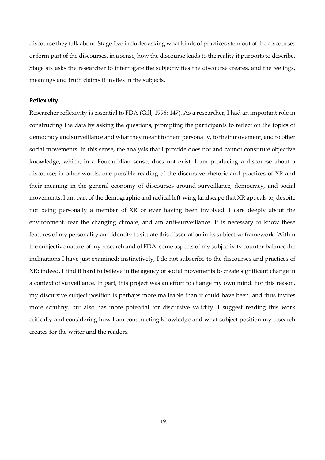discourse they talk about. Stage five includes asking what kinds of practices stem out of the discourses or form part of the discourses, in a sense, how the discourse leads to the reality it purports to describe. Stage six asks the researcher to interrogate the subjectivities the discourse creates, and the feelings, meanings and truth claims it invites in the subjects.

#### **Reflexivity**

Researcher reflexivity is essential to FDA (Gill, 1996: 147). As a researcher, I had an important role in constructing the data by asking the questions, prompting the participants to reflect on the topics of democracy and surveillance and what they meant to them personally, to their movement, and to other social movements. In this sense, the analysis that I provide does not and cannot constitute objective knowledge, which, in a Foucauldian sense, does not exist. I am producing a discourse about a discourse; in other words, one possible reading of the discursive rhetoric and practices of XR and their meaning in the general economy of discourses around surveillance, democracy, and social movements. I am part of the demographic and radical left-wing landscape that XR appeals to, despite not being personally a member of XR or ever having been involved. I care deeply about the environment, fear the changing climate, and am anti-surveillance. It is necessary to know these features of my personality and identity to situate this dissertation in its subjective framework. Within the subjective nature of my research and of FDA, some aspects of my subjectivity counter-balance the inclinations I have just examined: instinctively, I do not subscribe to the discourses and practices of XR; indeed, I find it hard to believe in the agency of social movements to create significant change in a context of surveillance. In part, this project was an effort to change my own mind. For this reason, my discursive subject position is perhaps more malleable than it could have been, and thus invites more scrutiny, but also has more potential for discursive validity. I suggest reading this work critically and considering how I am constructing knowledge and what subject position my research creates for the writer and the readers.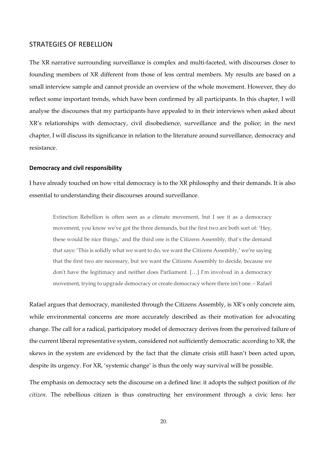#### STRATEGIES OF REBELLION

The XR narrative surrounding surveillance is complex and multi-faceted, with discourses closer to founding members of XR different from those of less central members. My results are based on a small interview sample and cannot provide an overview of the whole movement. However, they do reflect some important trends, which have been confirmed by all participants. In this chapter, I will analyse the discourses that my participants have appealed to in their interviews when asked about XR's relationships with democracy, civil disobedience, surveillance and the police; in the next chapter, I will discuss its significance in relation to the literature around surveillance, democracy and resistance.

#### **Democracy and civil responsibility**

I have already touched on how vital democracy is to the XR philosophy and their demands. It is also essential to understanding their discourses around surveillance.

Extinction Rebellion is often seen as a climate movement, but I see it as a democracy movement, you know we've got the three demands, but the first two are both sort of: 'Hey, these would be nice things,' and the third one is the Citizens Assembly, that's the demand that says: 'This is solidly what we want to do, we want the Citizens Assembly,' we're saying that the first two are necessary, but we want the Citizens Assembly to decide, because we don't have the legitimacy and neither does Parliament. […] I'm involved in a democracy movement, trying to upgrade democracy or create democracy where there isn't one. – Rafael

Rafael argues that democracy, manifested through the Citizens Assembly, is XR's only concrete aim, while environmental concerns are more accurately described as their motivation for advocating change. The call for a radical, participatory model of democracy derives from the perceived failure of the current liberal representative system, considered not sufficiently democratic: according to XR, the skews in the system are evidenced by the fact that the climate crisis still hasn't been acted upon, despite its urgency. For XR, 'systemic change' is thus the only way survival will be possible.

The emphasis on democracy sets the discourse on a defined line: it adopts the subject position of *the citizen*. The rebellious citizen is thus constructing her environment through a civic lens: her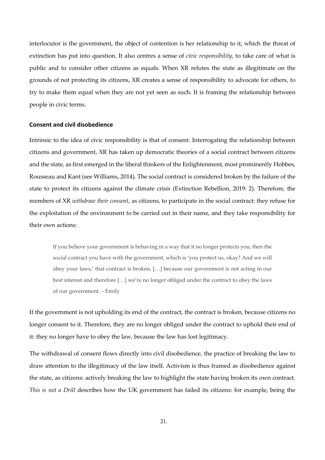interlocutor is the government, the object of contention is her relationship to it, which the threat of extinction has put into question. It also centres a sense of *civic responsibility*, to take care of what is public and to consider other citizens as equals. When XR refutes the state as illegitimate on the grounds of not protecting its citizens, XR creates a sense of responsibility to advocate for others, to try to make them equal when they are not yet seen as such. It is framing the relationship between people in civic terms.

#### **Consent and civil disobedience**

Intrinsic to the idea of civic responsibility is that of consent. Interrogating the relationship between citizens and government, XR has taken up democratic theories of a social contract between citizens and the state, as first emerged in the liberal thinkers of the Enlightenment, most prominently Hobbes, Rousseau and Kant (see Williams, 2014). The social contract is considered broken by the failure of the state to protect its citizens against the climate crisis (Extinction Rebellion, 2019: 2). Therefore, the members of XR *withdraw their consent*, as citizens, to participate in the social contract: they refuse for the exploitation of the environment to be carried out in their name, and they take responsibility for their own actions:

If you believe your government is behaving in a way that it no longer protects you, then the social contract you have with the government, which is 'you protect us, okay? And we will obey your laws,' that contract is broken, […] because our government is not acting in our best interest and therefore […] we're no longer obliged under the contract to obey the laws of our government. – Emily

If the government is not upholding its end of the contract, the contract is broken, because citizens no longer consent to it. Therefore, they are no longer obliged under the contract to uphold their end of it: they no longer have to obey the law, because the law has lost legitimacy.

The withdrawal of consent flows directly into civil disobedience, the practice of breaking the law to draw attention to the illegitimacy of the law itself. Activism is thus framed as disobedience against the state, as citizens: actively breaking the law to highlight the state having broken its own contract. *This is not a Drill* describes how the UK government has failed its citizens: for example, being the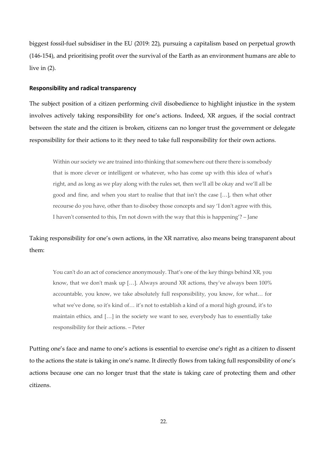biggest fossil-fuel subsidiser in the EU (2019: 22), pursuing a capitalism based on perpetual growth (146-154), and prioritising profit over the survival of the Earth as an environment humans are able to live in (2).

#### **Responsibility and radical transparency**

The subject position of a citizen performing civil disobedience to highlight injustice in the system involves actively taking responsibility for one's actions. Indeed, XR argues, if the social contract between the state and the citizen is broken, citizens can no longer trust the government or delegate responsibility for their actions to it: they need to take full responsibility for their own actions.

Within our society we are trained into thinking that somewhere out there there is somebody that is more clever or intelligent or whatever, who has come up with this idea of what's right, and as long as we play along with the rules set, then we'll all be okay and we'll all be good and fine, and when you start to realise that that isn't the case […], then what other recourse do you have, other than to disobey those concepts and say 'I don't agree with this, I haven't consented to this, I'm not down with the way that this is happening'? – Jane

Taking responsibility for one's own actions, in the XR narrative, also means being transparent about them:

You can't do an act of conscience anonymously. That's one of the key things behind XR, you know, that we don't mask up […]. Always around XR actions, they've always been 100% accountable, you know, we take absolutely full responsibility, you know, for what… for what we've done, so it's kind of… it's not to establish a kind of a moral high ground, it's to maintain ethics, and […] in the society we want to see, everybody has to essentially take responsibility for their actions. – Peter

Putting one's face and name to one's actions is essential to exercise one's right as a citizen to dissent to the actions the state is taking in one's name. It directly flows from taking full responsibility of one's actions because one can no longer trust that the state is taking care of protecting them and other citizens.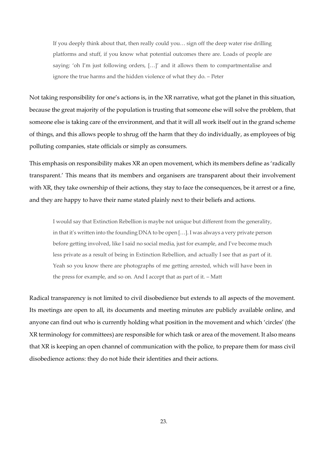If you deeply think about that, then really could you… sign off the deep water rise drilling platforms and stuff, if you know what potential outcomes there are. Loads of people are saying: 'oh I'm just following orders, […]' and it allows them to compartmentalise and ignore the true harms and the hidden violence of what they do. – Peter

Not taking responsibility for one's actions is, in the XR narrative, what got the planet in this situation, because the great majority of the population is trusting that someone else will solve the problem, that someone else is taking care of the environment, and that it will all work itself out in the grand scheme of things, and this allows people to shrug off the harm that they do individually, as employees of big polluting companies, state officials or simply as consumers.

This emphasis on responsibility makes XR an open movement, which its members define as 'radically transparent.' This means that its members and organisers are transparent about their involvement with XR, they take ownership of their actions, they stay to face the consequences, be it arrest or a fine, and they are happy to have their name stated plainly next to their beliefs and actions.

I would say that Extinction Rebellion is maybe not unique but different from the generality, in that it's written into the founding DNA to be open […]. I was always a very private person before getting involved, like I said no social media, just for example, and I've become much less private as a result of being in Extinction Rebellion, and actually I see that as part of it. Yeah so you know there are photographs of me getting arrested, which will have been in the press for example, and so on. And I accept that as part of it. – Matt

Radical transparency is not limited to civil disobedience but extends to all aspects of the movement. Its meetings are open to all, its documents and meeting minutes are publicly available online, and anyone can find out who is currently holding what position in the movement and which 'circles' (the XR terminology for committees) are responsible for which task or area of the movement. It also means that XR is keeping an open channel of communication with the police, to prepare them for mass civil disobedience actions: they do not hide their identities and their actions.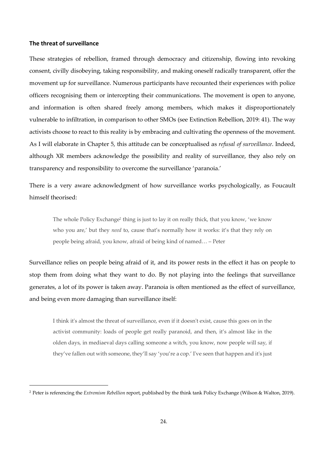#### **The threat of surveillance**

 $\overline{a}$ 

These strategies of rebellion, framed through democracy and citizenship, flowing into revoking consent, civilly disobeying, taking responsibility, and making oneself radically transparent, offer the movement up for surveillance. Numerous participants have recounted their experiences with police officers recognising them or intercepting their communications. The movement is open to anyone, and information is often shared freely among members, which makes it disproportionately vulnerable to infiltration, in comparison to other SMOs (see Extinction Rebellion, 2019: 41). The way activists choose to react to this reality is by embracing and cultivating the openness of the movement. As I will elaborate in Chapter 5, this attitude can be conceptualised as *refusal of surveillance*. Indeed, although XR members acknowledge the possibility and reality of surveillance, they also rely on transparency and responsibility to overcome the surveillance 'paranoia.'

There is a very aware acknowledgment of how surveillance works psychologically, as Foucault himself theorised:

The whole Policy Exchange<sup>2</sup> thing is just to lay it on really thick, that you know, 'we know who you are,' but they *need* to, cause that's normally how it works: it's that they rely on people being afraid, you know, afraid of being kind of named… – Peter

Surveillance relies on people being afraid of it, and its power rests in the effect it has on people to stop them from doing what they want to do. By not playing into the feelings that surveillance generates, a lot of its power is taken away. Paranoia is often mentioned as the effect of surveillance, and being even more damaging than surveillance itself:

I think it's almost the threat of surveillance, even if it doesn't exist, cause this goes on in the activist community: loads of people get really paranoid, and then, it's almost like in the olden days, in mediaeval days calling someone a witch, you know, now people will say, if they've fallen out with someone, they'll say 'you're a cop.' I've seen that happen and it's just

<sup>2</sup> Peter is referencing the *Extremism Rebellion* report, published by the think tank Policy Exchange (Wilson & Walton, 2019).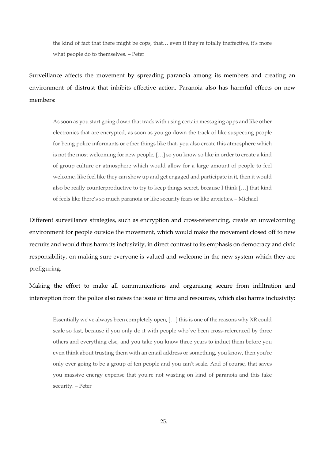the kind of fact that there might be cops, that… even if they're totally ineffective, it's more what people do to themselves. – Peter

Surveillance affects the movement by spreading paranoia among its members and creating an environment of distrust that inhibits effective action. Paranoia also has harmful effects on new members:

As soon as you start going down that track with using certain messaging apps and like other electronics that are encrypted, as soon as you go down the track of like suspecting people for being police informants or other things like that, you also create this atmosphere which is not the most welcoming for new people, […] so you know so like in order to create a kind of group culture or atmosphere which would allow for a large amount of people to feel welcome, like feel like they can show up and get engaged and participate in it, then it would also be really counterproductive to try to keep things secret, because I think […] that kind of feels like there's so much paranoia or like security fears or like anxieties. – Michael

Different surveillance strategies, such as encryption and cross-referencing, create an unwelcoming environment for people outside the movement, which would make the movement closed off to new recruits and would thus harm its inclusivity, in direct contrast to its emphasis on democracy and civic responsibility, on making sure everyone is valued and welcome in the new system which they are prefiguring.

Making the effort to make all communications and organising secure from infiltration and interception from the police also raises the issue of time and resources, which also harms inclusivity:

Essentially we've always been completely open, […] this is one of the reasons why XR could scale so fast, because if you only do it with people who've been cross-referenced by three others and everything else, and you take you know three years to induct them before you even think about trusting them with an email address or something, you know, then you're only ever going to be a group of ten people and you can't scale. And of course, that saves you massive energy expense that you're not wasting on kind of paranoia and this fake security. – Peter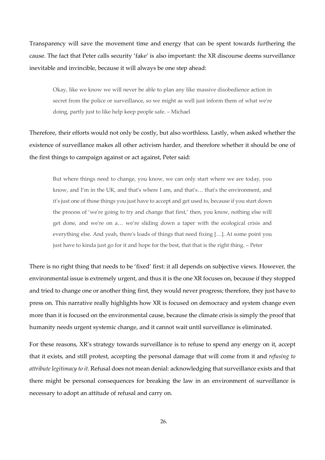Transparency will save the movement time and energy that can be spent towards furthering the cause. The fact that Peter calls security 'fake' is also important: the XR discourse deems surveillance inevitable and invincible, because it will always be one step ahead:

Okay, like we know we will never be able to plan any like massive disobedience action in secret from the police or surveillance, so we might as well just inform them of what we're doing, partly just to like help keep people safe. – Michael

Therefore, their efforts would not only be costly, but also worthless. Lastly, when asked whether the existence of surveillance makes all other activism harder, and therefore whether it should be one of the first things to campaign against or act against, Peter said:

But where things need to change, you know, we can only start where we are today, you know, and I'm in the UK, and that's where I am, and that's… that's the environment, and it's just one of those things you just have to accept and get used to, because if you start down the process of 'we're going to try and change that first,' then, you know, nothing else will get done, and we're on a… we're sliding down a taper with the ecological crisis and everything else. And yeah, there's loads of things that need fixing […]. At some point you just have to kinda just go for it and hope for the best, that that is the right thing. – Peter

There is no right thing that needs to be 'fixed' first: it all depends on subjective views. However, the environmental issue is extremely urgent, and thus it is the one XR focuses on, because if they stopped and tried to change one or another thing first, they would never progress; therefore, they just have to press on. This narrative really highlights how XR is focused on democracy and system change even more than it is focused on the environmental cause, because the climate crisis is simply the proof that humanity needs urgent systemic change, and it cannot wait until surveillance is eliminated.

For these reasons, XR's strategy towards surveillance is to refuse to spend any energy on it, accept that it exists, and still protest, accepting the personal damage that will come from it and *refusing to attribute legitimacy to it*. Refusal does not mean denial: acknowledging that surveillance exists and that there might be personal consequences for breaking the law in an environment of surveillance is necessary to adopt an attitude of refusal and carry on.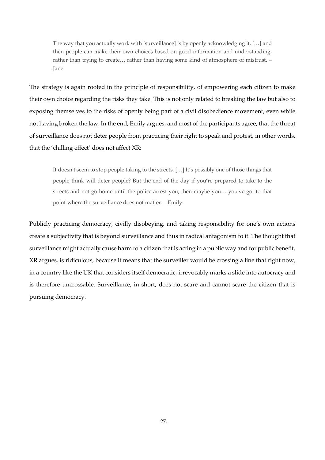The way that you actually work with [surveillance] is by openly acknowledging it, […] and then people can make their own choices based on good information and understanding, rather than trying to create… rather than having some kind of atmosphere of mistrust. – Jane

The strategy is again rooted in the principle of responsibility, of empowering each citizen to make their own choice regarding the risks they take. This is not only related to breaking the law but also to exposing themselves to the risks of openly being part of a civil disobedience movement, even while not having broken the law. In the end, Emily argues, and most of the participants agree, that the threat of surveillance does not deter people from practicing their right to speak and protest, in other words, that the 'chilling effect' does not affect XR:

It doesn't seem to stop people taking to the streets. […] It's possibly one of those things that people think will deter people? But the end of the day if you're prepared to take to the streets and not go home until the police arrest you, then maybe you… you've got to that point where the surveillance does not matter. – Emily

Publicly practicing democracy, civilly disobeying, and taking responsibility for one's own actions create a subjectivity that is beyond surveillance and thus in radical antagonism to it. The thought that surveillance might actually cause harm to a citizen that is acting in a public way and for public benefit, XR argues, is ridiculous, because it means that the surveiller would be crossing a line that right now, in a country like the UK that considers itself democratic, irrevocably marks a slide into autocracy and is therefore uncrossable. Surveillance, in short, does not scare and cannot scare the citizen that is pursuing democracy.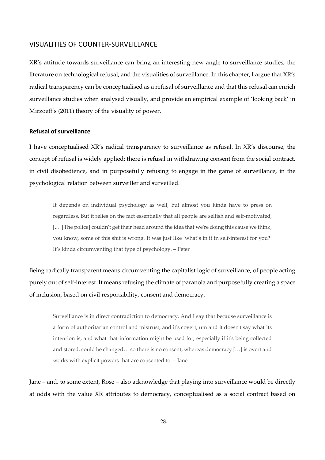#### VISUALITIES OF COUNTER-SURVEILLANCE

XR's attitude towards surveillance can bring an interesting new angle to surveillance studies, the literature on technological refusal, and the visualities of surveillance. In this chapter, I argue that XR's radical transparency can be conceptualised as a refusal of surveillance and that this refusal can enrich surveillance studies when analysed visually, and provide an empirical example of 'looking back' in Mirzoeff's (2011) theory of the visuality of power.

#### **Refusal of surveillance**

I have conceptualised XR's radical transparency to surveillance as refusal. In XR's discourse, the concept of refusal is widely applied: there is refusal in withdrawing consent from the social contract, in civil disobedience, and in purposefully refusing to engage in the game of surveillance, in the psychological relation between surveiller and surveilled.

It depends on individual psychology as well, but almost you kinda have to press on regardless. But it relies on the fact essentially that all people are selfish and self-motivated, [...] [The police] couldn't get their head around the idea that we're doing this cause we think, you know, some of this shit is wrong. It was just like 'what's in it in self-interest for you?' It's kinda circumventing that type of psychology. – Peter

Being radically transparent means circumventing the capitalist logic of surveillance, of people acting purely out of self-interest. It means refusing the climate of paranoia and purposefully creating a space of inclusion, based on civil responsibility, consent and democracy.

Surveillance is in direct contradiction to democracy. And I say that because surveillance is a form of authoritarian control and mistrust, and it's covert, um and it doesn't say what its intention is, and what that information might be used for, especially if it's being collected and stored, could be changed… so there is no consent, whereas democracy […] is overt and works with explicit powers that are consented to. – Jane

Jane – and, to some extent, Rose – also acknowledge that playing into surveillance would be directly at odds with the value XR attributes to democracy, conceptualised as a social contract based on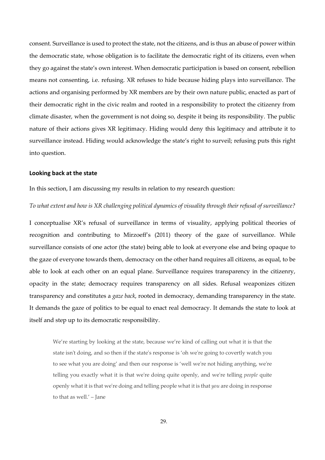consent. Surveillance is used to protect the state, not the citizens, and is thus an abuse of power within the democratic state, whose obligation is to facilitate the democratic right of its citizens, even when they go against the state's own interest. When democratic participation is based on consent, rebellion means not consenting, i.e. refusing. XR refuses to hide because hiding plays into surveillance. The actions and organising performed by XR members are by their own nature public, enacted as part of their democratic right in the civic realm and rooted in a responsibility to protect the citizenry from climate disaster, when the government is not doing so, despite it being its responsibility. The public nature of their actions gives XR legitimacy. Hiding would deny this legitimacy and attribute it to surveillance instead. Hiding would acknowledge the state's right to surveil; refusing puts this right into question.

#### **Looking back at the state**

In this section, I am discussing my results in relation to my research question:

*To what extent and how is XR challenging political dynamics of visuality through their refusal of surveillance?*

I conceptualise XR's refusal of surveillance in terms of visuality, applying political theories of recognition and contributing to Mirzoeff's (2011) theory of the gaze of surveillance. While surveillance consists of one actor (the state) being able to look at everyone else and being opaque to the gaze of everyone towards them, democracy on the other hand requires all citizens, as equal, to be able to look at each other on an equal plane. Surveillance requires transparency in the citizenry, opacity in the state; democracy requires transparency on all sides. Refusal weaponizes citizen transparency and constitutes a *gaze back*, rooted in democracy, demanding transparency in the state. It demands the gaze of politics to be equal to enact real democracy. It demands the state to look at itself and step up to its democratic responsibility.

We're starting by looking at the state, because we're kind of calling out what it is that the state isn't doing, and so then if the state's response is 'oh we're going to covertly watch you to see what you are doing' and then our response is 'well we're not hiding anything, we're telling you exactly what it is that we're doing quite openly, and we're telling *people* quite openly what it is that we're doing and telling people what it is that *you* are doing in response to that as well.' – Jane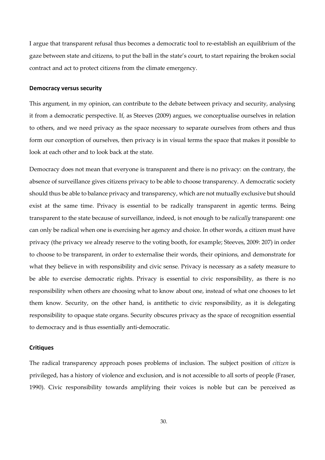I argue that transparent refusal thus becomes a democratic tool to re-establish an equilibrium of the gaze between state and citizens, to put the ball in the state's court, to start repairing the broken social contract and act to protect citizens from the climate emergency.

#### **Democracy versus security**

This argument, in my opinion, can contribute to the debate between privacy and security, analysing it from a democratic perspective. If, as Steeves (2009) argues, we conceptualise ourselves in relation to others, and we need privacy as the space necessary to separate ourselves from others and thus form our conception of ourselves, then privacy is in visual terms the space that makes it possible to look at each other and to look back at the state.

Democracy does not mean that everyone is transparent and there is no privacy: on the contrary, the absence of surveillance gives citizens privacy to be able to choose transparency. A democratic society should thus be able to balance privacy and transparency, which are not mutually exclusive but should exist at the same time. Privacy is essential to be radically transparent in agentic terms. Being transparent to the state because of surveillance, indeed, is not enough to be *radically* transparent: one can only be radical when one is exercising her agency and choice. In other words, a citizen must have privacy (the privacy we already reserve to the voting booth, for example; Steeves, 2009: 207) in order to choose to be transparent, in order to externalise their words, their opinions, and demonstrate for what they believe in with responsibility and civic sense. Privacy is necessary as a safety measure to be able to exercise democratic rights. Privacy is essential to civic responsibility, as there is no responsibility when others are choosing what to know about one, instead of what one chooses to let them know. Security, on the other hand, is antithetic to civic responsibility, as it is delegating responsibility to opaque state organs. Security obscures privacy as the space of recognition essential to democracy and is thus essentially anti-democratic.

#### **Critiques**

The radical transparency approach poses problems of inclusion. The subject position of *citizen* is privileged, has a history of violence and exclusion, and is not accessible to all sorts of people (Fraser, 1990). Civic responsibility towards amplifying their voices is noble but can be perceived as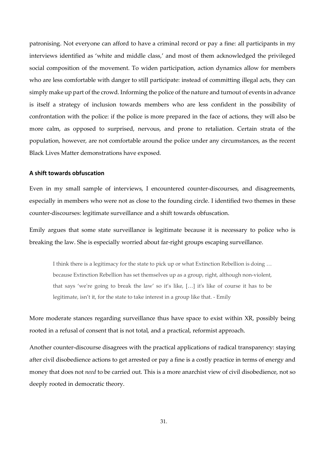patronising. Not everyone can afford to have a criminal record or pay a fine: all participants in my interviews identified as 'white and middle class,' and most of them acknowledged the privileged social composition of the movement. To widen participation, action dynamics allow for members who are less comfortable with danger to still participate: instead of committing illegal acts, they can simply make up part of the crowd. Informing the police of the nature and turnout of events in advance is itself a strategy of inclusion towards members who are less confident in the possibility of confrontation with the police: if the police is more prepared in the face of actions, they will also be more calm, as opposed to surprised, nervous, and prone to retaliation. Certain strata of the population, however, are not comfortable around the police under any circumstances, as the recent Black Lives Matter demonstrations have exposed.

#### **A shift towards obfuscation**

Even in my small sample of interviews, I encountered counter-discourses, and disagreements, especially in members who were not as close to the founding circle. I identified two themes in these counter-discourses: legitimate surveillance and a shift towards obfuscation.

Emily argues that some state surveillance is legitimate because it is necessary to police who is breaking the law. She is especially worried about far-right groups escaping surveillance.

I think there is a legitimacy for the state to pick up or what Extinction Rebellion is doing … because Extinction Rebellion has set themselves up as a group, right, although non-violent, that says 'we're going to break the law' so it's like, […] it's like of course it has to be legitimate, isn't it, for the state to take interest in a group like that. - Emily

More moderate stances regarding surveillance thus have space to exist within XR, possibly being rooted in a refusal of consent that is not total, and a practical, reformist approach.

Another counter-discourse disagrees with the practical applications of radical transparency: staying after civil disobedience actions to get arrested or pay a fine is a costly practice in terms of energy and money that does not *need* to be carried out. This is a more anarchist view of civil disobedience, not so deeply rooted in democratic theory.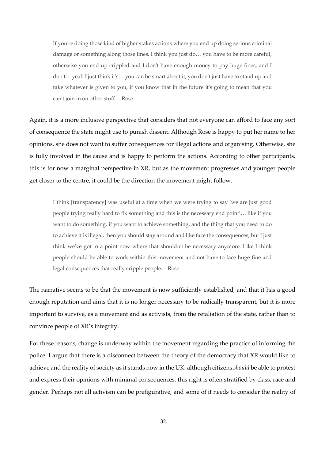If you're doing those kind of higher stakes actions where you end up doing serious criminal damage or something along those lines, I think you just do… you have to be more careful, otherwise you end up crippled and I don't have enough money to pay huge fines, and I don't… yeah I just think it's… you can be smart about it, you don't just have to stand up and take whatever is given to you, if you know that in the future it's going to mean that you can't join in on other stuff. – Rose

Again, it is a more inclusive perspective that considers that not everyone can afford to face any sort of consequence the state might use to punish dissent. Although Rose is happy to put her name to her opinions, she does not want to suffer consequences for illegal actions and organising. Otherwise, she is fully involved in the cause and is happy to perform the actions. According to other participants, this is for now a marginal perspective in XR, but as the movement progresses and younger people get closer to the centre, it could be the direction the movement might follow.

I think [transparency] was useful at a time when we were trying to say 'we are just good people trying really hard to fix something and this is the necessary end point'… like if you want to do something, if you want to achieve something, and the thing that you need to do to achieve it is illegal, then you should stay around and like face the consequences, but I just think we've got to a point now where that shouldn't be necessary anymore. Like I think people should be able to work within this movement and not have to face huge fine and legal consequences that really cripple people. – Rose

The narrative seems to be that the movement is now sufficiently established, and that it has a good enough reputation and aims that it is no longer necessary to be radically transparent, but it is more important to survive, as a movement and as activists, from the retaliation of the state, rather than to convince people of XR's integrity.

For these reasons, change is underway within the movement regarding the practice of informing the police. I argue that there is a disconnect between the theory of the democracy that XR would like to achieve and the reality of society as it stands now in the UK: although citizens *should* be able to protest and express their opinions with minimal consequences, this right is often stratified by class, race and gender. Perhaps not all activism can be prefigurative, and some of it needs to consider the reality of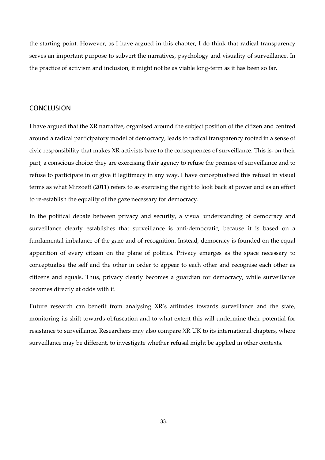the starting point. However, as I have argued in this chapter, I do think that radical transparency serves an important purpose to subvert the narratives, psychology and visuality of surveillance. In the practice of activism and inclusion, it might not be as viable long-term as it has been so far.

#### **CONCLUSION**

I have argued that the XR narrative, organised around the subject position of the citizen and centred around a radical participatory model of democracy, leads to radical transparency rooted in a sense of civic responsibility that makes XR activists bare to the consequences of surveillance. This is, on their part, a conscious choice: they are exercising their agency to refuse the premise of surveillance and to refuse to participate in or give it legitimacy in any way. I have conceptualised this refusal in visual terms as what Mirzoeff (2011) refers to as exercising the right to look back at power and as an effort to re-establish the equality of the gaze necessary for democracy.

In the political debate between privacy and security, a visual understanding of democracy and surveillance clearly establishes that surveillance is anti-democratic, because it is based on a fundamental imbalance of the gaze and of recognition. Instead, democracy is founded on the equal apparition of every citizen on the plane of politics. Privacy emerges as the space necessary to conceptualise the self and the other in order to appear to each other and recognise each other as citizens and equals. Thus, privacy clearly becomes a guardian for democracy, while surveillance becomes directly at odds with it.

Future research can benefit from analysing XR's attitudes towards surveillance and the state, monitoring its shift towards obfuscation and to what extent this will undermine their potential for resistance to surveillance. Researchers may also compare XR UK to its international chapters, where surveillance may be different, to investigate whether refusal might be applied in other contexts.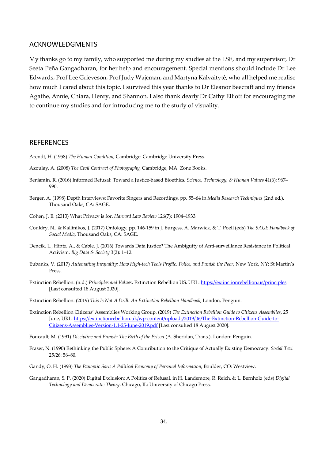#### ACKNOWLEDGMENTS

My thanks go to my family, who supported me during my studies at the LSE, and my supervisor, Dr Seeta Peña Gangadharan, for her help and encouragement. Special mentions should include Dr Lee Edwards, Prof Lee Grieveson, Prof Judy Wajcman, and Martyna Kalvaitytė, who all helped me realise how much I cared about this topic. I survived this year thanks to Dr Eleanor Beecraft and my friends Agathe, Annie, Chiara, Henry, and Shannon. I also thank dearly Dr Cathy Elliott for encouraging me to continue my studies and for introducing me to the study of visuality.

#### **REFERENCES**

- Arendt, H. (1958) *The Human Condition*, Cambridge: Cambridge University Press.
- Azoulay, A. (2008) *The Civil Contract of Photography*, Cambridge, MA: Zone Books.
- Benjamin, R. (2016) Informed Refusal: Toward a Justice-based Bioethics. *Science, Technology, & Human Values* 41(6): 967– 990.
- Berger, A. (1998) Depth Interviews: Favorite Singers and Recordings, pp. 55–64 in *Media Research Techniques* (2nd ed.), Thousand Oaks, CA: SAGE.
- Cohen, J. E. (2013) What Privacy is for. *Harvard Law Review* 126(7): 1904–1933.
- Couldry, N., & Kallinikos, J. (2017) Ontology, pp. 146-159 in J. Burgess, A. Marwick, & T. Poell (eds) *The SAGE Handbook of Social Media*, Thousand Oaks, CA: SAGE.
- Dencik, L., Hintz, A., & Cable, J. (2016) Towards Data Justice? The Ambiguity of Anti-surveillance Resistance in Political Activism. *Big Data & Society* 3(2): 1–12.
- Eubanks, V. (2017) *Automating Inequality: How High-tech Tools Profile, Police, and Punish the Poor*, New York, NY: St Martin's Press.
- Extinction Rebellion. (n.d.) *Principles and Values*, Extinction Rebellion US, URL: https://extinctionrebellion.us/principles [Last consulted 18 August 2020].
- Extinction Rebellion. (2019) *This Is Not A Drill: An Extinction Rebellion Handbook*, London, Penguin.
- Extinction Rebellion Citizens' Assemblies Working Group. (2019) *The Extinction Rebellion Guide to Citizens Assemblies*, 25 June, URL: https://extinctionrebellion.uk/wp-content/uploads/2019/06/The-Extinction-Rebellion-Guide-to-Citizens-Assemblies-Version-1.1-25-June-2019.pdf [Last consulted 18 August 2020].
- Foucault, M. (1991) *Discipline and Punish: The Birth of the Prison* (A. Sheridan, Trans.), London: Penguin.
- Fraser, N. (1990) Rethinking the Public Sphere: A Contribution to the Critique of Actually Existing Democracy. *Social Text* 25/26: 56–80.
- Gandy, O. H. (1993) *The Panoptic Sort: A Political Economy of Personal Information*, Boulder, CO: Westview.
- Gangadharan, S. P. (2020) Digital Exclusion: A Politics of Refusal, in H. Landemore, R. Reich, & L. Bernholz (eds) *Digital Technology and Democratic Theory*. Chicago, IL: University of Chicago Press.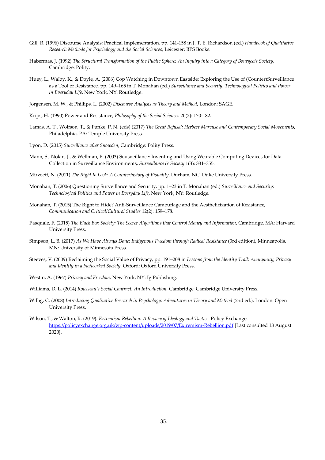- Gill, R. (1996) Discourse Analysis: Practical Implementation, pp. 141-158 in J. T. E. Richardson (ed.) *Handbook of Qualitative Research Methods for Psychology and the Social Sciences*, Leicester: BPS Books.
- Habermas, J. (1992) *The Structural Transformation of the Public Sphere: An Inquiry into a Category of Bourgeois Society*, Cambridge: Polity.
- Huey, L., Walby, K., & Doyle, A. (2006) Cop Watching in Downtown Eastside: Exploring the Use of (Counter)Surveillance as a Tool of Resistance, pp. 149–165 in T. Monahan (ed.) *Surveillance and Security: Technological Politics and Power in Everyday Life*, New York, NY: Routledge.
- Jorgensen, M. W., & Phillips, L. (2002) *Discourse Analysis as Theory and Method*, London: SAGE.
- Krips, H. (1990) Power and Resistance, *Philosophy of the Social Sciences* 20(2): 170-182.
- Lamas, A. T., Wolfson, T., & Funke, P. N. (eds) (2017) *The Great Refusal: Herbert Marcuse and Contemporary Social Movements*, Philadelphia, PA: Temple University Press.
- Lyon, D. (2015) *Surveillance after Snowden*, Cambridge: Polity Press.
- Mann, S., Nolan, J., & Wellman, B. (2003) Sousveillance: Inventing and Using Wearable Computing Devices for Data Collection in Surveillance Environments, *Surveillance & Society* 1(3): 331–355.
- Mirzoeff, N. (2011) *The Right to Look: A Counterhistory of Visuality*, Durham, NC: Duke University Press.
- Monahan, T. (2006) Questioning Surveillance and Security, pp. 1–23 in T. Monahan (ed.) *Surveillance and Security: Technological Politics and Power in Everyday Life*, New York, NY: Routledge.
- Monahan, T. (2015) The Right to Hide? Anti-Surveillance Camouflage and the Aestheticization of Resistance, *Communication and Critical/Cultural Studies* 12(2): 159–178.
- Pasquale, F. (2015) *The Black Box Society: The Secret Algorithms that Control Money and Information*, Cambridge, MA: Harvard University Press.
- Simpson, L. B. (2017) *As We Have Always Done: Indigenous Freedom through Radical Resistance* (3rd edition), Minneapolis, MN: University of Minnesota Press.
- Steeves, V. (2009) Reclaiming the Social Value of Privacy, pp. 191–208 in *Lessons from the Identity Trail: Anonymity, Privacy and Identity in a Networked Society*, Oxford: Oxford University Press.
- Westin, A. (1967) *Privacy and Freedom*, New York, NY: Ig Publishing.
- Williams, D. L. (2014) *Rousseau's Social Contract: An Introduction*, Cambridge: Cambridge University Press.
- Willig, C. (2008) *Introducing Qualitative Research in Psychology: Adventures in Theory and Method* (2nd ed.), London: Open University Press.
- Wilson, T., & Walton, R. (2019). *Extremism Rebellion: A Review of Ideology and Tactics*. Policy Exchange. https://policyexchange.org.uk/wp-content/uploads/2019/07/Extremism-Rebellion.pdf [Last consulted 18 August 2020].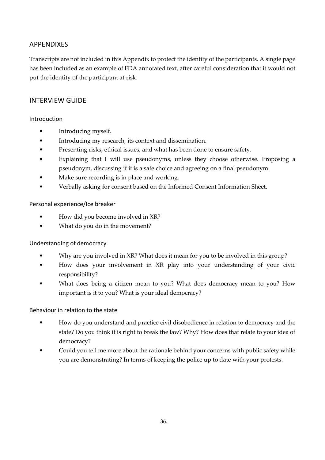## APPENDIXES

Transcripts are not included in this Appendix to protect the identity of the participants. A single page has been included as an example of FDA annotated text, after careful consideration that it would not put the identity of the participant at risk.

## INTERVIEW GUIDE

## Introduction

- Introducing myself.
- Introducing my research, its context and dissemination.
- Presenting risks, ethical issues, and what has been done to ensure safety.
- Explaining that I will use pseudonyms, unless they choose otherwise. Proposing a pseudonym, discussing if it is a safe choice and agreeing on a final pseudonym.
- Make sure recording is in place and working.
- Verbally asking for consent based on the Informed Consent Information Sheet.

## Personal experience/Ice breaker

- How did you become involved in XR?
- What do you do in the movement?

## Understanding of democracy

- Why are you involved in XR? What does it mean for you to be involved in this group?
- How does your involvement in XR play into your understanding of your civic responsibility?
- What does being a citizen mean to you? What does democracy mean to you? How important is it to you? What is your ideal democracy?

## Behaviour in relation to the state

- How do you understand and practice civil disobedience in relation to democracy and the state? Do you think it is right to break the law? Why? How does that relate to your idea of democracy?
- Could you tell me more about the rationale behind your concerns with public safety while you are demonstrating? In terms of keeping the police up to date with your protests.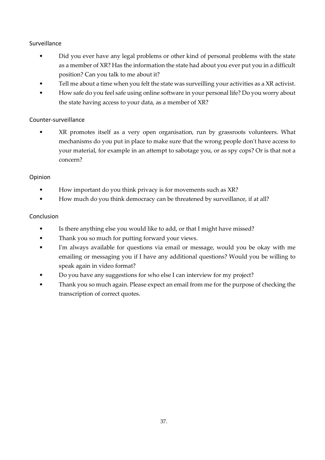## Surveillance

- Did you ever have any legal problems or other kind of personal problems with the state as a member of XR? Has the information the state had about you ever put you in a difficult position? Can you talk to me about it?
- Tell me about a time when you felt the state was surveilling your activities as a XR activist.
- How safe do you feel safe using online software in your personal life? Do you worry about the state having access to your data, as a member of XR?

## Counter-surveillance

• XR promotes itself as a very open organisation, run by grassroots volunteers. What mechanisms do you put in place to make sure that the wrong people don't have access to your material, for example in an attempt to sabotage you, or as spy cops? Or is that not a concern?

## Opinion

- How important do you think privacy is for movements such as XR?
- How much do you think democracy can be threatened by surveillance, if at all?

## Conclusion

- Is there anything else you would like to add, or that I might have missed?
- Thank you so much for putting forward your views.
- I'm always available for questions via email or message, would you be okay with me emailing or messaging you if I have any additional questions? Would you be willing to speak again in video format?
- Do you have any suggestions for who else I can interview for my project?
- Thank you so much again. Please expect an email from me for the purpose of checking the transcription of correct quotes.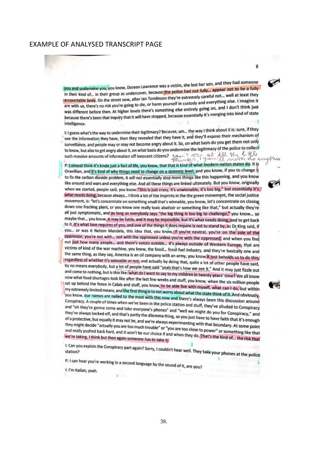#### EXAMPLE OF ANALYSED TRANSCRIPT PAGE

you and undermine you, you know, Doreen Lawrence was a victim, she lost her son, and they had someone you and undermine you, you know, Doreen Lawrence was a victim, she lost lief son, and undermine you, you know,<br>In their kind of... in their group as undercover, because the police had not fully... appear not to be a fully in their kind of... in their group as undercover, because the police had not lung to police... well at least they<br>accountable body. On the street now, after lan Tomlinson they're extremely careful not... well at least they accountable body. On the street now, after lan Tomlinson they're extremely called the body. I imagine it<br>are with us, there's no risk you're going to die, or harm yourself in custody and everything else. I imagine it are with us, there's no risk you're going to die, or harm yourself in custody and everyone.<br>was different before then. At higher levels there's something else entirely going on, and I don't think just<br>was different before was different before then. At higher levels there's something else entirely going only a state because there's been that inquiry that it will have stopped, because essentially it's merging into kind of state intelligence.

8

I: I guess what's the way to undermine their legitimacy? Because, um... the way I think about it is: sure, if they It I guess what's the way to undermine their regitinacy? Because, unline they'll expose their mechanism of<br>use the information they have, then they revealed that they have it, and they'll expose their mechanism of suse the information they have, then they revealed that they have to be the basis do you get them not only surventiance, and people may or may not become angly about it. so, or that extends to the police to collect<br>to know, but also to get angly about it, on what basis do you undermine the legitimacy of the police to collect such massive amounts of information off innocent citizens? contract and of your things in the little

P: I almost think it's kinda just a fact of life, you know, that that is kind of what modern nation states do. It is Orwellian, and it's kind of why things need to change on a systemic level, and you know, if you to change it to fix the carbon dioxide problem, it will not essentially stop more things like this happening, and you know like around and wars and everything else. And all these things are linked ultimately. But you know, originally when we started, people said, you know: "this is just crazy, it's unwinnable, it's too big," but essentially it's what needs doing, because always... I think a lot of the imprints in the the green movement, the social justice movement, is: "let's concentrate on something small that's winnable, you know, let's concentrate on closing down one fracking plant, or you know one really toxic abattoir or something like that," but actually they're all just symptomatic, and as long as everybody says "the big thing is too big to challenge," you know... so maybe that... you know, it may be futile, and it may be impossible, but it's what needs doing, and to get back to it, it's what love requires of you, and one of the things it does require is not to stand by, as Dr King said, if you... or was it Nelson Mandela, this idea that, you know, if you're neutral, you're on the side of the oppressor, you're not with... not with the oppressed unless you're with the oppressed, and when you find out just how many people... and there's voices outside... It's always outside of Western Europe, that are victims of kind of the war machine, you know, the fossil... fossil fuel industry, and they're basically one and the same thing, as they say, America is an oil company with an army, you know it just beholds us to do this, regardless of whether it's winnable or not, and actually by doing that, quite a lot of other people have said,<br>by no means everybody, but a lot of people have and actually by doing that, quite a lot of other people have sa by no means everybody, but a lot of people have said, when that's how we see it." And it may just fizzle out<br>and come to nothing but is this like when the law said "yeah that's how we see it." And it may just fizzle out and come to nothing, but is this like: what do I want to say to my children in twenty years' time? We all know<br>now what food shortages look like after the last four weeks and come in twenty years' time? We all know now what food shortages look like after the last few weeks and stuff, you know, when the six million people<br>sat up behind the fence in Calais and stuff you know to be able. It was also when the six million people sat up behind the fence in Calais and stuff, you know, to be able live with myself, what can I do, but within<br>my extremely limited means, and the first thing is to perform the live with myself, what can I do, but within my extremely limited means, and the first thing is to not worry about what the state think of it. And obviously,<br>you know, our names are nailed to the mast with this now and there is the state think of it. And obviously, you know, our names are nailed to the nest tring is to not worry about what the state think of it. And obviously,<br>Conspiracy. A couple of times when we've been in the nollog station and slavays been this discussion around Conspiracy. A couple of times when we've been in the police station and stuff, they've alluded to Conspiracy<br>and "oh they're gonna come and take everyone's phones" and "well we might a lluded to Conspiracy and "oh they're gonna come and take everyone's phones" and "well we might do you for Conspiracy<br>they've always backed off, and that's partly the dilemma thing. so you just have the you for Conspiracy," and<br>they've always b they've always backed off, and that's partly the dilemma thing, so you just have to have faith that it's enough<br>of a protective, but equally it may not be, and we're always experimention with the view faith that it's enoug of a protective, but equally it may not be, and we're always experimenting with that boundary. At some point<br>they might decide "actually it may not be, and we're always experimenting with that boundary. At some point<br>they they might decide "actually you are too much trouble" or "you are too close to power" or something like that<br>and really pushed back hard, and it won't be our choice if and when they do That's the I something like that and really pushed back hard, and it won't be our choice if and when they do. That's the kind of... the risk that<br>we're taking, I think but then again someone has to take it. we're taking, I think but then again someone has to take it,

I: Can you explain the Conspiracy part again? Sorry, I couldn't hear well. They take your phones at the police

P: I can hear you're working in a second language by the sound of it, are you?

I: I'm Italian, yeah.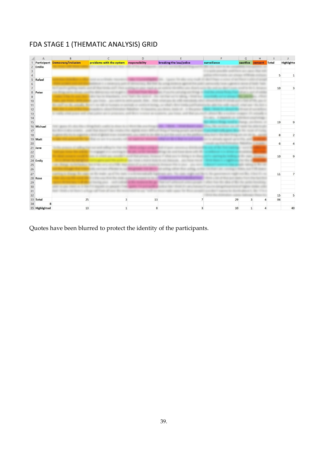## FDA STAGE 1 (THEMATIC ANALYSIS) GRID

|                                                            | Α              | B                               | C                                       | D  |                         |                      | G | H                                         |       |                      |
|------------------------------------------------------------|----------------|---------------------------------|-----------------------------------------|----|-------------------------|----------------------|---|-------------------------------------------|-------|----------------------|
|                                                            |                | Participant Democracy/Inclusion | problems with the system responsibility |    | breaking the law/police | surveillance         |   | sacrifice consent                         | Total | <b>Highlighter</b>   |
|                                                            | 2 Emilio       |                                 |                                         |    |                         |                      |   |                                           |       |                      |
| $\mathsf 3$                                                |                |                                 |                                         |    |                         |                      |   |                                           |       |                      |
| $\sqrt{4}$                                                 |                |                                 |                                         |    |                         |                      |   |                                           |       | 5<br>$\mathbf{1}$    |
| 5                                                          | Rafael         |                                 |                                         |    |                         |                      |   |                                           |       |                      |
| $\sqrt{6}$                                                 |                |                                 |                                         |    |                         |                      |   |                                           |       |                      |
| $\overline{7}$                                             |                |                                 |                                         |    |                         |                      |   |                                           |       | 10<br>3              |
|                                                            | 8 Peter        |                                 |                                         |    |                         |                      |   |                                           |       |                      |
| $\mathsf g$                                                |                |                                 |                                         |    |                         |                      |   |                                           |       |                      |
| 10                                                         |                |                                 |                                         |    |                         |                      |   |                                           |       |                      |
| $11$                                                       |                | the court can the probably to   |                                         |    |                         |                      |   |                                           |       |                      |
| $\frac{12}{13}$                                            |                |                                 |                                         |    |                         |                      |   |                                           |       |                      |
|                                                            |                |                                 |                                         |    |                         |                      |   |                                           |       |                      |
| 14                                                         |                |                                 |                                         |    |                         |                      |   |                                           |       |                      |
| 15                                                         |                |                                 |                                         |    |                         |                      |   |                                           |       | 19<br>$\overline{9}$ |
|                                                            | 16 Michael     |                                 |                                         |    |                         |                      |   |                                           |       |                      |
| 17<br>18                                                   |                |                                 |                                         |    |                         |                      |   |                                           |       |                      |
|                                                            |                |                                 |                                         |    |                         |                      |   |                                           |       | 8<br>$\overline{2}$  |
| $20\,$                                                     | 19 Matt        |                                 |                                         |    |                         |                      |   |                                           |       |                      |
|                                                            | 21 Jane        |                                 |                                         |    |                         |                      |   |                                           |       | 6                    |
|                                                            |                |                                 |                                         |    |                         |                      |   |                                           |       |                      |
| $\begin{array}{c} 22 \\ 23 \end{array}$                    |                |                                 |                                         |    |                         |                      |   |                                           |       | 10<br>$\overline{9}$ |
|                                                            | 24 Emily       |                                 |                                         |    |                         |                      |   |                                           |       |                      |
|                                                            |                | the Bangal to Schools           |                                         |    |                         |                      |   |                                           |       |                      |
| $\begin{array}{c}\n 25 \\ 26 \\ \hline\n 27\n \end{array}$ |                |                                 |                                         |    |                         |                      |   |                                           |       |                      |
|                                                            |                | antiquity dispute the same      |                                         |    |                         |                      |   |                                           |       | 11<br>$\overline{7}$ |
|                                                            | 28 Rose        |                                 |                                         |    |                         |                      |   |                                           |       |                      |
|                                                            |                |                                 |                                         |    |                         |                      |   |                                           |       |                      |
| 29<br>30                                                   |                |                                 |                                         |    |                         |                      |   |                                           |       |                      |
|                                                            |                |                                 |                                         |    |                         |                      |   |                                           |       |                      |
| $\frac{31}{32}$                                            |                |                                 |                                         |    |                         |                      |   |                                           |       | 15<br>5              |
|                                                            | 33 Total       | 25                              | $\overline{3}$                          | 13 |                         | $\overline{7}$<br>29 |   | $\overline{\mathbf{3}}$<br>$\overline{4}$ |       | 84                   |
| 34                                                         | 8              |                                 |                                         |    |                         |                      |   |                                           |       |                      |
|                                                            | 35 Highlighted | 13                              | $\mathbf{1}$                            | 8  |                         | 3<br>10              |   | $1\,$<br>$\Delta$                         |       | 40                   |
|                                                            |                |                                 |                                         |    |                         |                      |   |                                           |       |                      |

Quotes have been blurred to protect the identity of the participants.